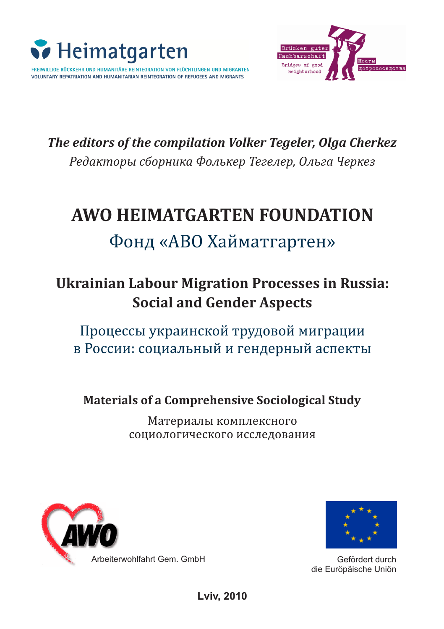

FREIWILLIGE RÜCKKEHR UND HUMANITÄRE REINTEGRATION VON FLÜCHTLINGEN UND MIGRANTEN VOLUNTARY REPATRIATION AND HUMANITARIAN REINTEGRATION OF REFUGEES AND MIGRANTS



*–åäàêòîû ñáîíèêà Ôîëüêå Òåãåëå, Îëüãà ◊åêåç The editors of the compilation Volker Tegeler, Olga Cherkez*

# **AWO HEIMATGARTEN FOUNDATION**

# Фонд «АВО Хайматгартен»

# **Ukrainian Labour Migration Processes in Russia: Social and Gender Aspects**

Процессы украинской трудовой миграции в России: социальный и гендерный аспекты

**Materials of a Comprehensive Sociological Study**

Материалы комплексного социологического исследования





Gefördert durch die Euröpäische Uniön

**Lviv, 2010**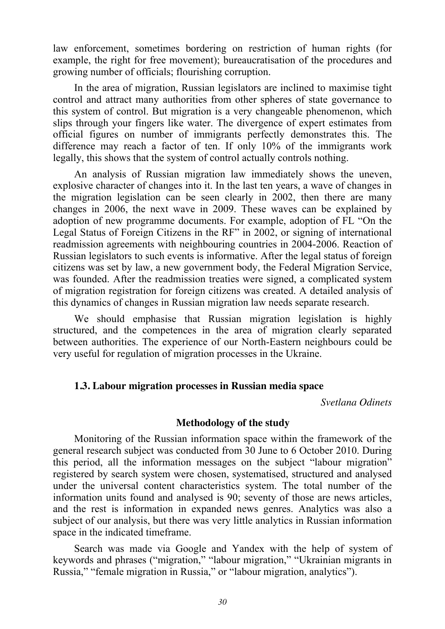law enforcement, sometimes bordering on restriction of human rights (for example, the right for free movement); bureaucratisation of the procedures and growing number of officials; flourishing corruption.

In the area of migration, Russian legislators are inclined to maximise tight control and attract many authorities from other spheres of state governance to this system of control. But migration is a very changeable phenomenon, which slips through your fingers like water. The divergence of expert estimates from official figures on number of immigrants perfectly demonstrates this. The difference may reach a factor of ten. If only 10% of the immigrants work legally, this shows that the system of control actually controls nothing.

An analysis of Russian migration law immediately shows the uneven, explosive character of changes into it. In the last ten years, a wave of changes in the migration legislation can be seen clearly in 2002, then there are many changes in 2006, the next wave in 2009. These waves can be explained by adoption of new programme documents. For example, adoption of FL "On the Legal Status of Foreign Citizens in the RF" in 2002, or signing of international readmission agreements with neighbouring countries in 2004-2006. Reaction of Russian legislators to such events is informative. After the legal status of foreign citizens was set by law, a new government body, the Federal Migration Service, was founded. After the readmission treaties were signed, a complicated system of migration registration for foreign citizens was created. A detailed analysis of this dynamics of changes in Russian migration law needs separate research.

We should emphasise that Russian migration legislation is highly structured, and the competences in the area of migration clearly separated between authorities. The experience of our North-Eastern neighbours could be very useful for regulation of migration processes in the Ukraine.

#### **1.3. Labour migration processes in Russian media space**

*Svetlana Odinets* 

#### **Methodology of the study**

Monitoring of the Russian information space within the framework of the general research subject was conducted from 30 June to 6 October 2010. During this period, all the information messages on the subject "labour migration" registered by search system were chosen, systematised, structured and analysed under the universal content characteristics system. The total number of the information units found and analysed is 90; seventy of those are news articles, and the rest is information in expanded news genres. Analytics was also a subject of our analysis, but there was very little analytics in Russian information space in the indicated timeframe.

Search was made via Google and Yandex with the help of system of keywords and phrases ("migration," "labour migration," "Ukrainian migrants in Russia," "female migration in Russia," or "labour migration, analytics").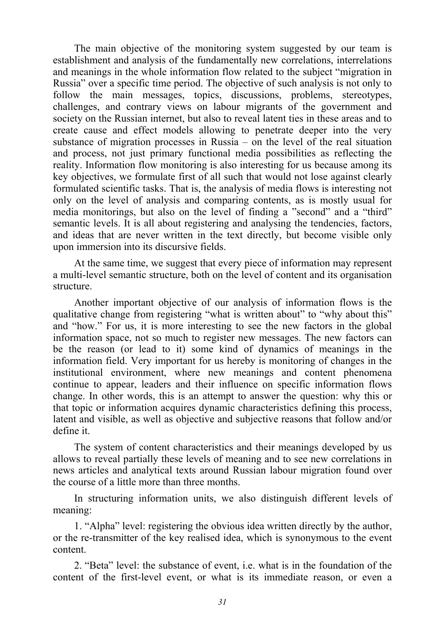The main objective of the monitoring system suggested by our team is establishment and analysis of the fundamentally new correlations, interrelations and meanings in the whole information flow related to the subject "migration in Russia" over a specific time period. The objective of such analysis is not only to follow the main messages, topics, discussions, problems, stereotypes, challenges, and contrary views on labour migrants of the government and society on the Russian internet, but also to reveal latent ties in these areas and to create cause and effect models allowing to penetrate deeper into the very substance of migration processes in Russia – on the level of the real situation and process, not just primary functional media possibilities as reflecting the reality. Information flow monitoring is also interesting for us because among its key objectives, we formulate first of all such that would not lose against clearly formulated scientific tasks. That is, the analysis of media flows is interesting not only on the level of analysis and comparing contents, as is mostly usual for media monitorings, but also on the level of finding a "second" and a "third" semantic levels. It is all about registering and analysing the tendencies, factors, and ideas that are never written in the text directly, but become visible only upon immersion into its discursive fields.

At the same time, we suggest that every piece of information may represent a multi-level semantic structure, both on the level of content and its organisation structure.

Another important objective of our analysis of information flows is the qualitative change from registering "what is written about" to "why about this" and "how." For us, it is more interesting to see the new factors in the global information space, not so much to register new messages. The new factors can be the reason (or lead to it) some kind of dynamics of meanings in the information field. Very important for us hereby is monitoring of changes in the institutional environment, where new meanings and content phenomena continue to appear, leaders and their influence on specific information flows change. In other words, this is an attempt to answer the question: why this or that topic or information acquires dynamic characteristics defining this process, latent and visible, as well as objective and subjective reasons that follow and/or define it.

The system of content characteristics and their meanings developed by us allows to reveal partially these levels of meaning and to see new correlations in news articles and analytical texts around Russian labour migration found over the course of a little more than three months.

In structuring information units, we also distinguish different levels of meaning:

1. "Alpha" level: registering the obvious idea written directly by the author, or the re-transmitter of the key realised idea, which is synonymous to the event content.

2. "Beta" level: the substance of event, i.e. what is in the foundation of the content of the first-level event, or what is its immediate reason, or even a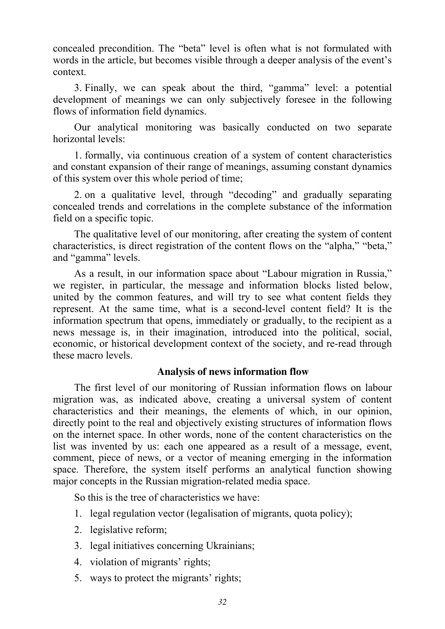concealed precondition. The "beta" level is often what is not formulated with words in the article, but becomes visible through a deeper analysis of the event's context.

3. Finally, we can speak about the third, "gamma" level: a potential development of meanings we can only subjectively foresee in the following flows of information field dynamics.

Our analytical monitoring was basically conducted on two separate horizontal levels:

1. formally, via continuous creation of a system of content characteristics and constant expansion of their range of meanings, assuming constant dynamics of this system over this whole period of time;

2. on a qualitative level, through "decoding" and gradually separating concealed trends and correlations in the complete substance of the information field on a specific topic.

The qualitative level of our monitoring, after creating the system of content characteristics, is direct registration of the content flows on the "alpha," "beta," and "gamma" levels.

As a result, in our information space about "Labour migration in Russia," we register, in particular, the message and information blocks listed below, united by the common features, and will try to see what content fields they represent. At the same time, what is a second-level content field? It is the information spectrum that opens, immediately or gradually, to the recipient as a news message is, in their imagination, introduced into the political, social, economic, or historical development context of the society, and re-read through these macro levels.

### **Analysis of news information flow**

The first level of our monitoring of Russian information flows on labour migration was, as indicated above, creating a universal system of content characteristics and their meanings, the elements of which, in our opinion, directly point to the real and objectively existing structures of information flows on the internet space. In other words, none of the content characteristics on the list was invented by us: each one appeared as a result of a message, event, comment, piece of news, or a vector of meaning emerging in the information space. Therefore, the system itself performs an analytical function showing major concepts in the Russian migration-related media space.

So this is the tree of characteristics we have:

- 1. legal regulation vector (legalisation of migrants, quota policy);
- 2. legislative reform;
- 3. legal initiatives concerning Ukrainians;
- 4. violation of migrants' rights;
- 5. ways to protect the migrants' rights;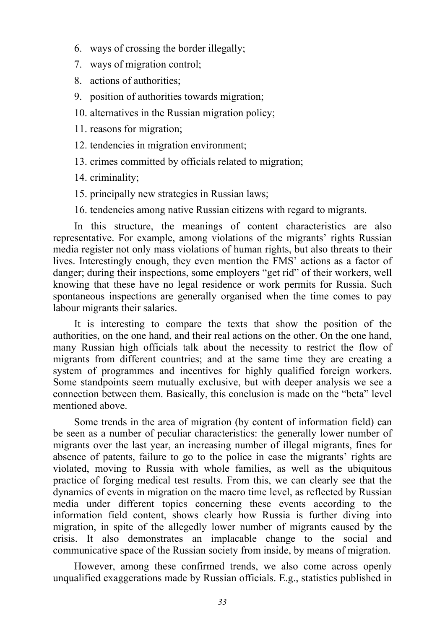- 6. ways of crossing the border illegally;
- 7. ways of migration control;
- 8. actions of authorities;
- 9. position of authorities towards migration;
- 10. alternatives in the Russian migration policy;
- 11. reasons for migration;
- 12. tendencies in migration environment;
- 13. crimes committed by officials related to migration;

14. criminality;

- 15. principally new strategies in Russian laws;
- 16. tendencies among native Russian citizens with regard to migrants.

In this structure, the meanings of content characteristics are also representative. For example, among violations of the migrants' rights Russian media register not only mass violations of human rights, but also threats to their lives. Interestingly enough, they even mention the FMS' actions as a factor of danger; during their inspections, some employers "get rid" of their workers, well knowing that these have no legal residence or work permits for Russia. Such spontaneous inspections are generally organised when the time comes to pay labour migrants their salaries.

It is interesting to compare the texts that show the position of the authorities, on the one hand, and their real actions on the other. On the one hand, many Russian high officials talk about the necessity to restrict the flow of migrants from different countries; and at the same time they are creating a system of programmes and incentives for highly qualified foreign workers. Some standpoints seem mutually exclusive, but with deeper analysis we see a connection between them. Basically, this conclusion is made on the "beta" level mentioned above.

Some trends in the area of migration (by content of information field) can be seen as a number of peculiar characteristics: the generally lower number of migrants over the last year, an increasing number of illegal migrants, fines for absence of patents, failure to go to the police in case the migrants' rights are violated, moving to Russia with whole families, as well as the ubiquitous practice of forging medical test results. From this, we can clearly see that the dynamics of events in migration on the macro time level, as reflected by Russian media under different topics concerning these events according to the information field content, shows clearly how Russia is further diving into migration, in spite of the allegedly lower number of migrants caused by the crisis. It also demonstrates an implacable change to the social and communicative space of the Russian society from inside, by means of migration.

However, among these confirmed trends, we also come across openly unqualified exaggerations made by Russian officials. E.g., statistics published in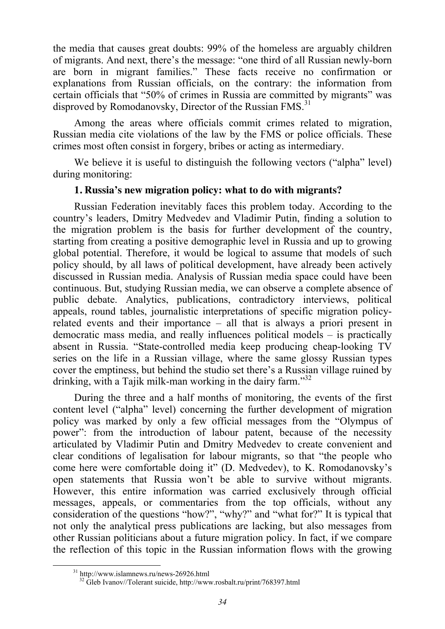the media that causes great doubts: 99% of the homeless are arguably children of migrants. And next, there's the message: "one third of all Russian newly-born are born in migrant families." These facts receive no confirmation or explanations from Russian officials, on the contrary: the information from certain officials that "50% of crimes in Russia are committed by migrants" was disproved by Romodanovsky, Director of the Russian FMS.<sup>31</sup>

Among the areas where officials commit crimes related to migration, Russian media cite violations of the law by the FMS or police officials. These crimes most often consist in forgery, bribes or acting as intermediary.

We believe it is useful to distinguish the following vectors ("alpha" level) during monitoring:

## **1. Russia's new migration policy: what to do with migrants?**

Russian Federation inevitably faces this problem today. According to the country's leaders, Dmitry Medvedev and Vladimir Putin, finding a solution to the migration problem is the basis for further development of the country, starting from creating a positive demographic level in Russia and up to growing global potential. Therefore, it would be logical to assume that models of such policy should, by all laws of political development, have already been actively discussed in Russian media. Analysis of Russian media space could have been continuous. But, studying Russian media, we can observe a complete absence of public debate. Analytics, publications, contradictory interviews, political appeals, round tables, journalistic interpretations of specific migration policyrelated events and their importance – all that is always a priori present in democratic mass media, and really influences political models – is practically absent in Russia. "State-controlled media keep producing cheap-looking TV series on the life in a Russian village, where the same glossy Russian types cover the emptiness, but behind the studio set there's a Russian village ruined by drinking, with a Tajik milk-man working in the dairy farm."<sup>32</sup>

During the three and a half months of monitoring, the events of the first content level ("alpha" level) concerning the further development of migration policy was marked by only a few official messages from the "Olympus of power": from the introduction of labour patent, because of the necessity articulated by Vladimir Putin and Dmitry Medvedev to create convenient and clear conditions of legalisation for labour migrants, so that "the people who come here were comfortable doing it" (D. Medvedev), to K. Romodanovsky's open statements that Russia won't be able to survive without migrants. However, this entire information was carried exclusively through official messages, appeals, or commentaries from the top officials, without any consideration of the questions "how?", "why?" and "what for?" It is typical that not only the analytical press publications are lacking, but also messages from other Russian politicians about a future migration policy. In fact, if we compare the reflection of this topic in the Russian information flows with the growing

 <sup>31</sup> http://www.islamnews.ru/news-26926.html

<sup>32</sup> Gleb Ivanov//Tolerant suicide, http://www.rosbalt.ru/print/768397.html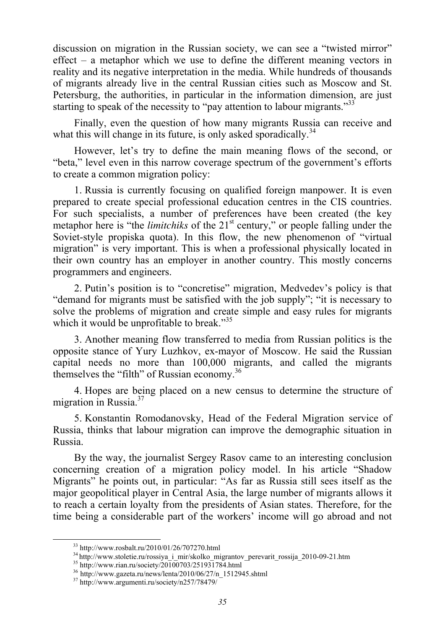discussion on migration in the Russian society, we can see a "twisted mirror" effect – a metaphor which we use to define the different meaning vectors in reality and its negative interpretation in the media. While hundreds of thousands of migrants already live in the central Russian cities such as Moscow and St. Petersburg, the authorities, in particular in the information dimension, are just starting to speak of the necessity to "pay attention to labour migrants."<sup>33</sup>

Finally, even the question of how many migrants Russia can receive and what this will change in its future, is only asked sporadically.<sup>34</sup>

However, let's try to define the main meaning flows of the second, or "beta," level even in this narrow coverage spectrum of the government's efforts to create a common migration policy:

1. Russia is currently focusing on qualified foreign manpower. It is even prepared to create special professional education centres in the CIS countries. For such specialists, a number of preferences have been created (the key metaphor here is "the *limitchiks* of the 21<sup>st</sup> century," or people falling under the Soviet-style propiska quota). In this flow, the new phenomenon of "virtual migration" is very important. This is when a professional physically located in their own country has an employer in another country. This mostly concerns programmers and engineers.

2. Putin's position is to "concretise" migration, Medvedev's policy is that "demand for migrants must be satisfied with the job supply"; "it is necessary to solve the problems of migration and create simple and easy rules for migrants which it would be unprofitable to break."<sup>35</sup>

3. Another meaning flow transferred to media from Russian politics is the opposite stance of Yury Luzhkov, ex-mayor of Moscow. He said the Russian capital needs no more than 100,000 migrants, and called the migrants themselves the "filth" of Russian economy.<sup>36</sup>

4. Hopes are being placed on a new census to determine the structure of migration in Russia. $37$ 

5. Konstantin Romodanovsky, Head of the Federal Migration service of Russia, thinks that labour migration can improve the demographic situation in Russia.

By the way, the journalist Sergey Rasov came to an interesting conclusion concerning creation of a migration policy model. In his article "Shadow Migrants" he points out, in particular: "As far as Russia still sees itself as the major geopolitical player in Central Asia, the large number of migrants allows it to reach a certain loyalty from the presidents of Asian states. Therefore, for the time being a considerable part of the workers' income will go abroad and not

 <sup>33</sup> http://www.rosbalt.ru/2010/01/26/707270.html

 $^{34}$ http://www.stoletie.ru/rossiya\_i\_mir/skolko\_migrantov\_perevarit\_rossija\_2010-09-21.htm  $^{35}$ http://www.rian.ru/society/20100703/251931784.html

 $^{36}$ http://www.gazeta.ru/news/lenta/2010/06/27/n\_1512945.shtml $^{37}$ http://www.argumenti.ru/society/n257/78479/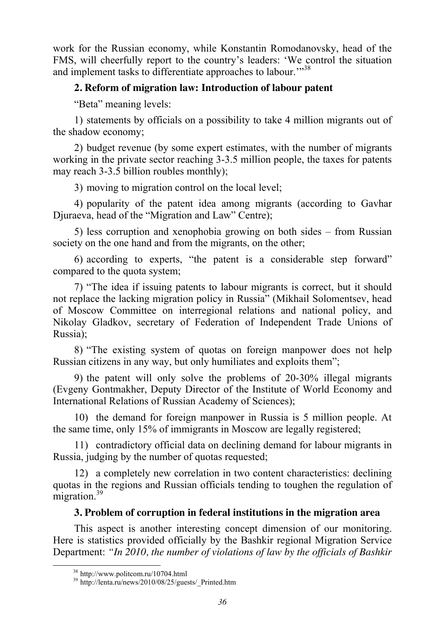work for the Russian economy, while Konstantin Romodanovsky, head of the FMS, will cheerfully report to the country's leaders: 'We control the situation and implement tasks to differentiate approaches to labour."<sup>38</sup>

# **2. Reform of migration law: Introduction of labour patent**

"Beta" meaning levels:

1) statements by officials on a possibility to take 4 million migrants out of the shadow economy;

2) budget revenue (by some expert estimates, with the number of migrants working in the private sector reaching 3-3.5 million people, the taxes for patents may reach 3-3.5 billion roubles monthly);

3) moving to migration control on the local level;

4) popularity of the patent idea among migrants (according to Gavhar Djuraeva, head of the "Migration and Law" Centre);

5) less corruption and xenophobia growing on both sides – from Russian society on the one hand and from the migrants, on the other;

6) according to experts, "the patent is a considerable step forward" compared to the quota system;

7) "The idea if issuing patents to labour migrants is correct, but it should not replace the lacking migration policy in Russia" (Mikhail Solomentsev, head of Moscow Committee on interregional relations and national policy, and Nikolay Gladkov, secretary of Federation of Independent Trade Unions of Russia);

8) "The existing system of quotas on foreign manpower does not help Russian citizens in any way, but only humiliates and exploits them";

9) the patent will only solve the problems of 20-30% illegal migrants (Evgeny Gontmakher, Deputy Director of the Institute of World Economy and International Relations of Russian Academy of Sciences);

10) the demand for foreign manpower in Russia is 5 million people. At the same time, only 15% of immigrants in Moscow are legally registered;

11) contradictory official data on declining demand for labour migrants in Russia, judging by the number of quotas requested;

12) a completely new correlation in two content characteristics: declining quotas in the regions and Russian officials tending to toughen the regulation of migration.<sup>39</sup>

# **3. Problem of corruption in federal institutions in the migration area**

This aspect is another interesting concept dimension of our monitoring. Here is statistics provided officially by the Bashkir regional Migration Service Department: *"In 2010, the number of violations of law by the officials of Bashkir* 

<sup>38</sup> http://www.politcom.ru/10704.html 39 http://lenta.ru/news/2010/08/25/guests/\_Printed.htm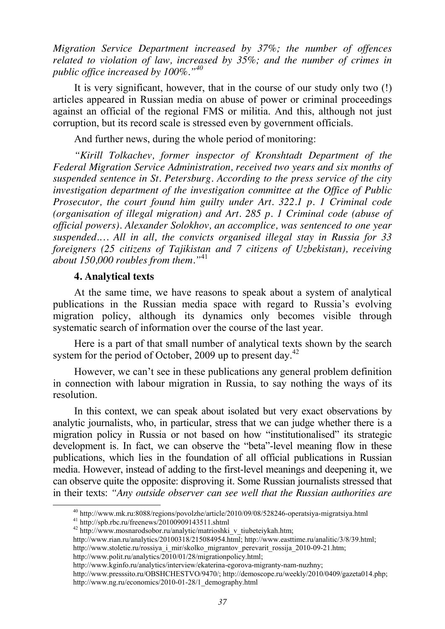*Migration Service Department increased by 37%; the number of offences related to violation of law, increased by 35%; and the number of crimes in public office increased by 100%."<sup>40</sup>*

It is very significant, however, that in the course of our study only two (!) articles appeared in Russian media on abuse of power or criminal proceedings against an official of the regional FMS or militia. And this, although not just corruption, but its record scale is stressed even by government officials.

And further news, during the whole period of monitoring:

*"Kirill Tolkachev, former inspector of Kronshtadt Department of the Federal Migration Service Administration, received two years and six months of suspended sentence in St. Petersburg. According to the press service of the city investigation department of the investigation committee at the Office of Public Prosecutor, the court found him guilty under Art. 322.1 p. 1 Criminal code (organisation of illegal migration) and Art. 285 p. 1 Criminal code (abuse of official powers). Alexander Solokhov, an accomplice, was sentenced to one year suspended.… All in all, the convicts organised illegal stay in Russia for 33 foreigners (25 citizens of Tajikistan and 7 citizens of Uzbekistan), receiving about 150,000 roubles from them."*<sup>41</sup>

### **4. Analytical texts**

At the same time, we have reasons to speak about a system of analytical publications in the Russian media space with regard to Russia's evolving migration policy, although its dynamics only becomes visible through systematic search of information over the course of the last year.

Here is a part of that small number of analytical texts shown by the search system for the period of October, 2009 up to present day.<sup>42</sup>

However, we can't see in these publications any general problem definition in connection with labour migration in Russia, to say nothing the ways of its resolution.

In this context, we can speak about isolated but very exact observations by analytic journalists, who, in particular, stress that we can judge whether there is a migration policy in Russia or not based on how "institutionalised" its strategic development is. In fact, we can observe the "beta"-level meaning flow in these publications, which lies in the foundation of all official publications in Russian media. However, instead of adding to the first-level meanings and deepening it, we can observe quite the opposite: disproving it. Some Russian journalists stressed that in their texts: *"Any outside observer can see well that the Russian authorities are* 

 $^{40}$ http://www.mk.ru:8088/regions/povolzhe/article/2010/09/08/528246-operatsiya-migratsiya.html  $^{41}$ http://spb.rbc.ru/freenews/20100909143511.shtml

<sup>42</sup> http://www.mosnarodsobor.ru/analytic/matrioshki\_v\_tiubeteiykah.htm;

http://www.rian.ru/analytics/20100318/215084954.html; http://www.easttime.ru/analitic/3/8/39.html;

http://www.stoletie.ru/rossiya\_i\_mir/skolko\_migrantov\_perevarit\_rossija\_2010-09-21.htm;

http://www.polit.ru/analytics/2010/01/28/migrationpolicy.html;

http://www.kginfo.ru/analytics/interview/ekaterina-egorova-migranty-nam-nuzhny;

http://www.presssito.ru/OBSHCHESTVO/9470/; http://demoscope.ru/weekly/2010/0409/gazeta014.php; http://www.ng.ru/economics/2010-01-28/1\_demography.html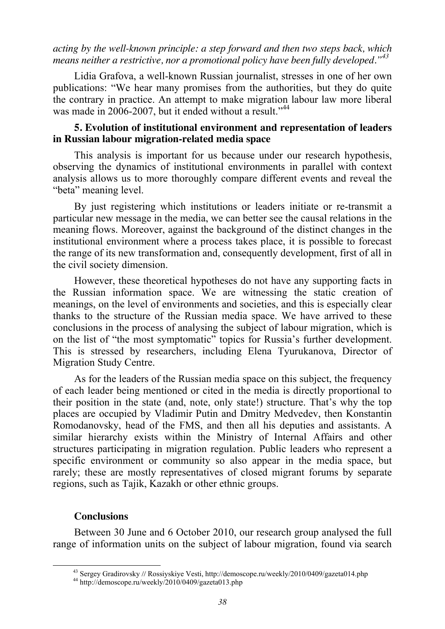*acting by the well-known principle: a step forward and then two steps back, which means neither a restrictive, nor a promotional policy have been fully developed."43*

Lidia Grafova, a well-known Russian journalist, stresses in one of her own publications: "We hear many promises from the authorities, but they do quite the contrary in practice. An attempt to make migration labour law more liberal was made in 2006-2007, but it ended without a result."<sup>44</sup>

### **5. Evolution of institutional environment and representation of leaders in Russian labour migration-related media space**

This analysis is important for us because under our research hypothesis, observing the dynamics of institutional environments in parallel with context analysis allows us to more thoroughly compare different events and reveal the "beta" meaning level.

By just registering which institutions or leaders initiate or re-transmit a particular new message in the media, we can better see the causal relations in the meaning flows. Moreover, against the background of the distinct changes in the institutional environment where a process takes place, it is possible to forecast the range of its new transformation and, consequently development, first of all in the civil society dimension.

However, these theoretical hypotheses do not have any supporting facts in the Russian information space. We are witnessing the static creation of meanings, on the level of environments and societies, and this is especially clear thanks to the structure of the Russian media space. We have arrived to these conclusions in the process of analysing the subject of labour migration, which is on the list of "the most symptomatic" topics for Russia's further development. This is stressed by researchers, including Elena Tyurukanova, Director of Migration Study Centre.

As for the leaders of the Russian media space on this subject, the frequency of each leader being mentioned or cited in the media is directly proportional to their position in the state (and, note, only state!) structure. That's why the top places are occupied by Vladimir Putin and Dmitry Medvedev, then Konstantin Romodanovsky, head of the FMS, and then all his deputies and assistants. A similar hierarchy exists within the Ministry of Internal Affairs and other structures participating in migration regulation. Public leaders who represent a specific environment or community so also appear in the media space, but rarely; these are mostly representatives of closed migrant forums by separate regions, such as Tajik, Kazakh or other ethnic groups.

### **Conclusions**

Between 30 June and 6 October 2010, our research group analysed the full range of information units on the subject of labour migration, found via search

 <sup>43</sup> Sergey Gradirovsky *//* Rossiyskiye Vesti, http://demoscope.ru/weekly/2010/0409/gazeta014.php 44 http://demoscope.ru/weekly/2010/0409/gazeta013.php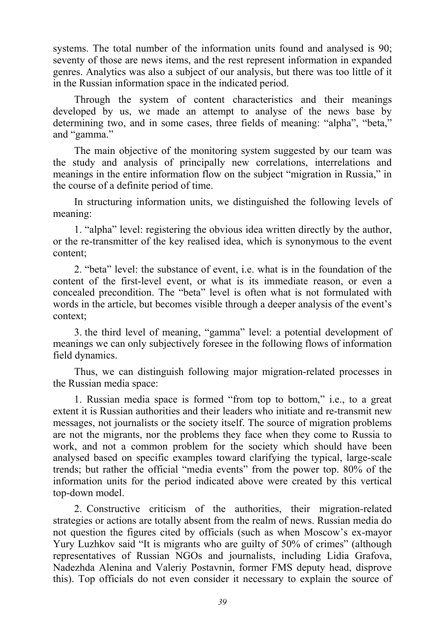systems. The total number of the information units found and analysed is 90; seventy of those are news items, and the rest represent information in expanded genres. Analytics was also a subject of our analysis, but there was too little of it in the Russian information space in the indicated period.

Through the system of content characteristics and their meanings developed by us, we made an attempt to analyse of the news base by determining two, and in some cases, three fields of meaning: "alpha", "beta," and "gamma."

The main objective of the monitoring system suggested by our team was the study and analysis of principally new correlations, interrelations and meanings in the entire information flow on the subject "migration in Russia," in the course of a definite period of time.

In structuring information units, we distinguished the following levels of meaning:

1. "alpha" level: registering the obvious idea written directly by the author, or the re-transmitter of the key realised idea, which is synonymous to the event content;

2. "beta" level: the substance of event, i.e. what is in the foundation of the content of the first-level event, or what is its immediate reason, or even a concealed precondition. The "beta" level is often what is not formulated with words in the article, but becomes visible through a deeper analysis of the event's context;

3. the third level of meaning, "gamma" level: a potential development of meanings we can only subjectively foresee in the following flows of information field dynamics.

Thus, we can distinguish following major migration-related processes in the Russian media space:

1. Russian media space is formed "from top to bottom," i.e., to a great extent it is Russian authorities and their leaders who initiate and re-transmit new messages, not journalists or the society itself. The source of migration problems are not the migrants, nor the problems they face when they come to Russia to work, and not a common problem for the society which should have been analysed based on specific examples toward clarifying the typical, large-scale trends; but rather the official "media events" from the power top. 80% of the information units for the period indicated above were created by this vertical top-down model.

2. Constructive criticism of the authorities, their migration-related strategies or actions are totally absent from the realm of news. Russian media do not question the figures cited by officials (such as when Moscow's ex-mayor Yury Luzhkov said "It is migrants who are guilty of 50% of crimes" (although representatives of Russian NGOs and journalists, including Lidia Grafova, Nadezhda Alenina and Valeriy Postavnin, former FMS deputy head, disprove this). Top officials do not even consider it necessary to explain the source of